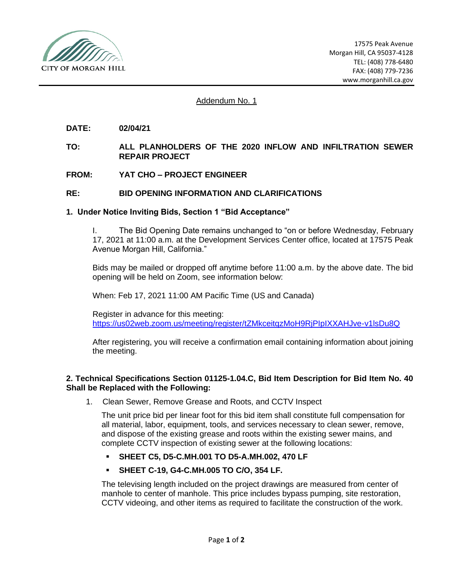

### Addendum No. 1

- **DATE: 02/04/21**
- **TO: ALL PLANHOLDERS OF THE 2020 INFLOW AND INFILTRATION SEWER REPAIR PROJECT**
- **FROM: YAT CHO – PROJECT ENGINEER**

### **RE: BID OPENING INFORMATION AND CLARIFICATIONS**

#### **1. Under Notice Inviting Bids, Section 1 "Bid Acceptance"**

I. The Bid Opening Date remains unchanged to "on or before Wednesday, February 17, 2021 at 11:00 a.m. at the Development Services Center office, located at 17575 Peak Avenue Morgan Hill, California."

Bids may be mailed or dropped off anytime before 11:00 a.m. by the above date. The bid opening will be held on Zoom, see information below:

When: Feb 17, 2021 11:00 AM Pacific Time (US and Canada)

Register in advance for this meeting: <https://us02web.zoom.us/meeting/register/tZMkceitqzMoH9RjPIpIXXAHJve-v1lsDu8Q>

After registering, you will receive a confirmation email containing information about joining the meeting.

### **2. Technical Specifications Section 01125-1.04.C, Bid Item Description for Bid Item No. 40 Shall be Replaced with the Following:**

1. Clean Sewer, Remove Grease and Roots, and CCTV Inspect

The unit price bid per linear foot for this bid item shall constitute full compensation for all material, labor, equipment, tools, and services necessary to clean sewer, remove, and dispose of the existing grease and roots within the existing sewer mains, and complete CCTV inspection of existing sewer at the following locations:

- **SHEET C5, D5-C.MH.001 TO D5-A.MH.002, 470 LF**
- **SHEET C-19, G4-C.MH.005 TO C/O, 354 LF.**

The televising length included on the project drawings are measured from center of manhole to center of manhole. This price includes bypass pumping, site restoration, CCTV videoing, and other items as required to facilitate the construction of the work.